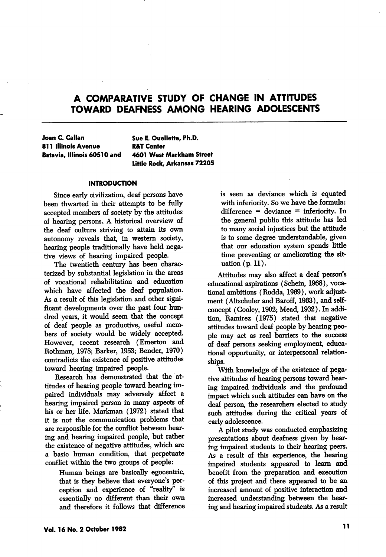Joan C. Callan 811 Illinois Avenue Batavia, Illinois 60510 and Sue E. Oueilette, Ph.D. R&T Center 4601 West Markham Street Little Rock, Arkansas 72205

# **INTRODUCTION**

Since early civilization, deaf persons have been thwarted in their attempts to be fully accepted members of society by the attitudes of hearing persons- A historical overview of the deaf culture striving to attain its own autonomy reveals that, in western society, hearing people traditionally have held nega tive views of hearing impaired people.

The twentieth century has been charac terized by substantial legislation in the areas of vocational rehabilitation and education which have affected the deaf population. As a result of this legislation and other signi ficant developments over the past four hun dred years, it would seem that the concept of deaf people as productive, useful mem bers of society would be widely accepted. However, recent research (Emerton and Rothman, 1978; Barker, 1953; Bender, 1970) contradicts the existence of positive attitudes toward hearing impaired people.

Research has demonstrated that the at titudes of hearing people toward hearing im paired individuals may adversely affect a hearing impaired person in many aspects of his or her life. Markman (1972) stated that it is not the communication problems that are responsible for the conflict between hear ing and hearing impaired people, but rather the existence of negative attitudes, which are a basic human condition, that perpetuate conflict within the two groups of people:

> Human beings are basically egocentric, that is they believe that everyone's per ception and experience of "reality" is essentially no different than their own and therefore it follows that difference

is seen as deviance which is equated with inferiority. So we have the formula: difference = deviance = inferiority. In the general public this attitude has led to many social injustices but the attitude is to some degree understandable, given that our education system spends little time preventing or ameliorating the sit uation (p. 11).

Attitudes may also affect a deaf person's educational aspirations (Schein, 1968), voca tional ambitions (Rodda, 1969), work adjust ment (Altschuler and Baroff, 1963), and selfconcept (Cooley, 1902; Mead, 1932). In addi tion, Ramirez (1975) stated that negative attitudes toward deaf people by hearing peo ple may act as real barriers to the success of deaf persons seeking employment, educa tional opportunity, or interpersonal relationships.

With knowledge of the existence of nega tive altitudes of hearing persons toward hear ing impaired individuals and the profound impact which such attitudes can have on the deaf person, the researchers elected to study such attitudes during the critical years of early adolescence.

A pilot study was conducted emphasizing presentations about deafness given by hear ing impaired students to their hearing peers. As a result of this experience, the hearing impaired students appeared to learn and benefit from the preparation and execution of this project and there appeared to be an increased amount of positive interaction and increased understanding between the hear ing and hearing impaired students. As a result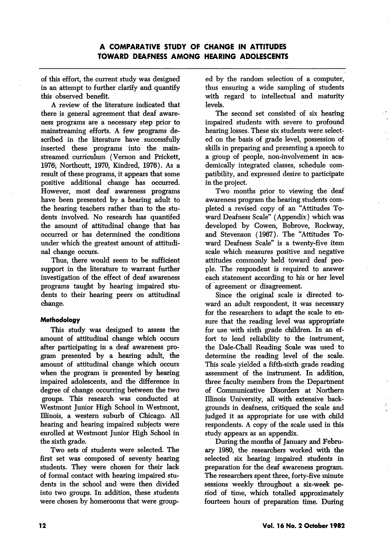of this effort, the current study was designed in an attempt to further clarify and quantify this observed benefit.

A review of the literature indicated that there is general agreement that deaf aware ness programs are a necessary step prior to mainstreaming efforts. A few programs de scribed in the literature have successfully inserted these programs into the mainstreamed curriculum (Vemon and Prickett, 1976; Northcutt, 1970, Kindred, 1976). As a result of these programs, it appears that some positive additional change has occurred. However, most deaf awareness programs have been presented by a hearing adult to the hearing teachers rather than to the stu dents involved. No research has quantifed the amount of attitudinal change that has occurred or has determined the conditions under which the greatest amount of attitudi nal change occurs.

Thus, there would seem to be sufficient support in the literature to warrant further investigation of the effect of deaf awareness programs taught by hearing impaired stu dents to their hearing peers on attitudinal change.

# **Methodology**

This study was designed to assess the amount of attitudinal change which occurs after participating in a deaf awareness pro gram presented by a hearing adult, the amount of attitudinal change which occurs when the program is presented by hearing impaired adolescents, and the difference in degree of change occurring between the two groups. This research was conducted at Westmont Junior High School in Westmont, Illinois, a western suburb of Chicago. All hearing and hearing impaired subjects were enrolled at Westmont Junior High School in the sixth grade.

Two sets of students were selected. The first set was composed of seventy hearing students. They were chosen for their lack of formal contact with hearing impaired stu dents in the school and were then divided into two groups. In addition, these students were chosen by homerooms that were group

ed by the random selection of a computer, thus ensuring a wide sampling of students with regard to intellectual and maturity levels.

The second set consisted of six hearing impaired students with severe to profound hearing losses. These six students were select ed on the basis of grade level, possession of skills in preparing and presenting a speech to a group of people, non-involvement in aca demically integrated classes, schedule com patibility, and expressed desire to participate in the project.

Two months prior to viewing the deaf awareness program the hearing students com pleted a revised copy of an "Attitudes To ward Deafness Scale" (Appendix) which was developed by Cowen, Bobrove, Rockway, and Stevenson (1967). The "Attitudes To ward Deafness Scale" is a twenty-five item scale which measures positive and negative attitudes commonly held toward deaf peo ple. The respondent is required to answer each statement according to his or her level of agreement or disagreement.

Since the original scale is directed to ward an adult respondent, it was necessary for the researchers to adapt the scale to en sure that the reading level was appropriate for use with sixth grade children. In an ef fort to lend reliability to the instrument, the Dale-Chall Reading Scale was used to determine the reading level of the scale. This scale yielded a fifth-sixth grade reading assessment of the instrument. In addition, three faculty members from the Department of Communicative Disorders at Northern Illinois University, all with extensive back grounds in deafness, critiqued the scale and judged it as appropriate for use with child respondents. A copy of the scale used in this study appears as an appendix.

During the months of January and Febru ary 1980, the researchers worked with the selected six hearing impaired students in preparation for the deaf awareness program. The researchers spent three, forty-five minute sessions weekly throughout a six-week pe riod of time, which totalled approximately fourteen hours of preparation time. During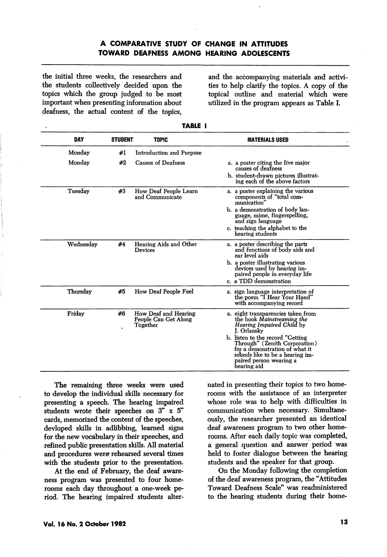the initial three weeks, the researchers and the students collectively decided upon the topics which the group judged to be most important when presenting information about deafness, the actual content of the topics.

and the accompanying materials and activi ties to help clarify the topics. A copy of the topical outline and material which were utilized in the program appears as Table L

| DAY       | <b>STUDENT</b>     | <b>TOPIC</b>                                             | <b>MATERIALS USED</b>                                                                                                                                                                                                                                                                                   |
|-----------|--------------------|----------------------------------------------------------|---------------------------------------------------------------------------------------------------------------------------------------------------------------------------------------------------------------------------------------------------------------------------------------------------------|
| Monday    | #1                 | Introduction and Purpose                                 |                                                                                                                                                                                                                                                                                                         |
| Monday    | #2                 | Causes of Deafness                                       | a. a poster citing the five major<br>causes of deafness<br>b. student-drawn pictures illustrat-<br>ing each of the above factors                                                                                                                                                                        |
| Tuesdav   | #3                 | How Deaf People Learn<br>and Communicate                 | a. a poster explaining the various<br>components of "total com-<br>munication"<br>b. a demonstration of body lan-<br>guage, mime, fingerspelling,<br>and sign language<br>c. teaching the alphabet to the<br>hearing students                                                                           |
| Wednesdav | #4                 | Hearing Aids and Other<br>Devices                        | a. a poster describing the parts<br>and functions of body aids and<br>ear level aids<br>b. a poster illustrating various<br>devices used by hearing im-<br>paired people in everyday life<br>c. a TDD demonstration                                                                                     |
| Thursdav  | #5                 | How Deaf People Feel                                     | a. sign language interpretation of<br>the poem "I Hear Your Hand"<br>with accompanying record                                                                                                                                                                                                           |
| Friday    | #6<br>$\mathbf{v}$ | How Deaf and Hearing<br>People Can Get Along<br>Together | a. eight transparencies taken from<br>the book Mainstreaming the<br><i>Hearing Impaired Child by</i><br>J. Orlansky<br>b. listen to the record "Getting<br>Through" (Zenith Corporation)<br>for a demonstration of what it<br>sounds like to be a hearing im-<br>paired person wearing a<br>hearing aid |

| __<br>I |  |
|---------|--|
|---------|--|

The remaining three weeks were used to develop the individual skills necessary for presenting a speech. The hearing impaired students wrote their speeches on 3" x 5" cards, memorized the content of the speeches, devloped skills in adlibbing, learned signs for the new vocabulary in their speeches, and refined public presentation skills. All material and procedures were rehearsed several times with the students prior to the presentation.

At the end of February, the deaf aware ness program was presented to four home rooms each day throughout a one-week pe riod. The hearing impaired students alter nated in presenting their topics to two home rooms with the assistance of an interpreter whose role was to help with difficulties in communication when necessary. Simultane ously, the researcher presented an identical deaf awareness program to two other home rooms. After each daily topic was completed, a general question and answer period was held to foster dialogue between the hearing students and the speaker for that group.

On the Monday following the completion of the deaf awareness program, the "Attitudes Toward Deafness Scale" was readministered to the hearing students during their home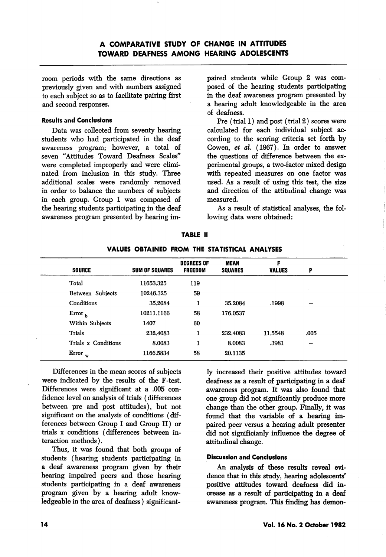room periods with the same directions as previously given and with numbers assigned to each subject so as to facilitate pairing first and second responses.

#### Results and Conclusions

Data was collected from seventy hearing students who had participated in the deaf awareness program; however, a total of seven "Attitudes Toward Deafness Scales" were completed improperly and were elimi nated from inclusion in this study. Three additional scales were randomly removed in order to balance the numbers of subjects in each group. Group 1 was composed of the hearing students participating in the deaf awareness program presented by hearing im

paired students while Group 2 was com posed of the hearing students participating in the deaf awareness program presented by a hearing adult knowledgeable in the area of deafness.

Pre (trial 1) and post (trial 2) scores were calculated for each individual subject ac cording to the scoring criteria set forth by Gowen, et al. (1967). In order to answer the questions of difference between the ex perimental groups, a two-factor mixed design with repeated measures on one factor was used. As a result of using this test, the size and direction of the attitudinal change was measured.

As a result of statistical analyses, the fol lowing data were obtained;

|                     |                       | <b>DEGREES OF</b> | <b>MEAN</b>    | F             |      |  |
|---------------------|-----------------------|-------------------|----------------|---------------|------|--|
| <b>SOURCE</b>       | <b>SUM OF SQUARES</b> | <b>FREEDOM</b>    | <b>SQUARES</b> | <b>VALUES</b> | P    |  |
| Total               | 11653.325             | 119               |                |               |      |  |
| Between Subjects    | 10246.325             | 59                |                |               |      |  |
| Conditions          | 35.2084               | 1                 | 35.2084        | .1998         |      |  |
| $Error_{b}$         | 10211.1166            | 58                | 176.0537       |               |      |  |
| Within Subjects     | 1407                  | 60                |                |               |      |  |
| Trials              | 232.4083              | 1                 | 232.4083       | 11.5548       | .005 |  |
| Trials x Conditions | 8.0083                | I                 | 8.0083         | .3981         |      |  |
| Error $_{\rm w}$    | 1166.5834             | 58                | 20.1135        |               |      |  |

TABLE II VALUES OBTAINED FROM THE STATISTICAL ANALYSES

Differences in the mean scores of subjects were indicated by the results of the F-test. Differences were significant at a .005 con fidence level on analysis of trials (differences between pre and post attitudes), but not significant on the analysis of conditions (dif ferences between Group I and Group II) or trials X conditions (differences between in teraction methods).

Thus, it was found that both groups of students (hearing students participating in a deaf awareness program given by their hearing impaired peers and those hearing students participating in a deaf awareness program given by a hearing adult know ledgeable in the area of deafness) significant

ly increased their positive attitudes toward deafness as a result of participating in a deaf awareness program. It was also found that one group did not significantly produce more change than the other group. Finally, it was found that the variable of a hearing im paired peer versus a hearing adult presenter did not significianly influence the degree of attitudinal change.

# Discussion and Conclusions

An analysis of these results reveal evi dence that in this study, hearing adolescents' positive attitudes toward deafness did in crease as a result of participating in a deaf awareness program. This finding has demon-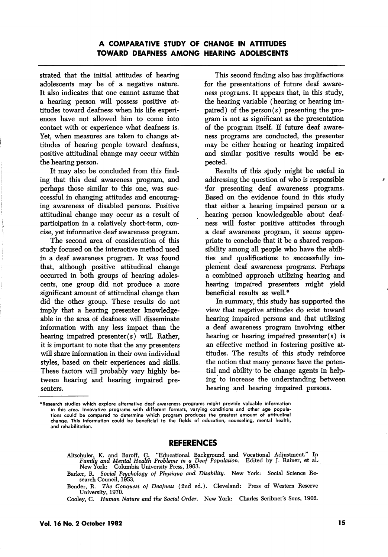strated that the initial attitudes of hearing adolescents may be of a negative nature. It also indicates that one cannot assume that a hearing person will possess positive at titudes toward deafness when his life experi ences have not allowed him to come into contact with or experience what deafness is. Yet, when measures are taken to change at titudes of hearing people toward deafness, positive attitudinal change may occur within the hearing person.

It may also be concluded from this find ing that this deaf awareness program, and perhaps those similar to this one, was succcessful in changing attitudes and encourag ing awareness of disabled persons. Positive attitudinal change may occur as a result of participation in a relatively short-term, con cise, yet informative deaf awareness program.

The second area of consideration of this study focused on the interactive method used in a deaf awareness program. It was found that, although positive attitudinal change occurred in both groups of hearing adoles cents, one group did not produce a more significant amount of attitudinal change than did the other group. These results do not imply that a hearing presenter knowledge able in the area of deafness will disseminate information with any less impact than the hearing impaired presenter(s) will. Rather, it is important to note that the any presenters will share information in their own individual styles, based on their experiences and skills. These factors will probably vary highly be tween hearing and hearing impaired pre senters.

This second finding also has implifactions for the presentations of future deaf aware ness programs. It appears that, in this study, the hearing variable (hearing or hearing im paired) of the person(s) presenting the program is not as significant as the presentation of the program itself. If future deaf aware ness programs are conducted, the presenter may be either hearing or hearing impaired and similar positive results would be ex pected.

Results of this sjudy might be useful in addressing the question of who is responsible tfor presenting deaf awareness programs. Based on the evidence found in this study that either a hearing impaired person or a hearing person knowledgeable about deaf ness will foster positive attitudes through a deaf awareness program, it seems appro priate to conclude that it be a shared respon sibility among all people who have the abili ties and qualifications to successfully im plement deaf awareness programs. Perhaps a combined approach utilizing hearing and hearing impaired presenters might yield beneficial results as well.\*

In summary, this study has supported the view that negative attitudes do exist toward hearing impaired persons and that utilizing a deaf awareness program involving either hearing or hearing impaired presenter(s) is an effective method in fostering positive at titudes. The results of this study reinforce the notion that many persons have the poten tial and ability to be change agents in help ing to increase the understanding between hearing and hearing impaired persons.

# REFERENCES

Altschuler, K. and Baroff, G. "Educational Background and Vocational Adjustment." In Family and Mental Health Problems in a Deaf Population. Edited by J. Rainer, et al. Family and Mental Health Problems in a Deaf Population. New York: Columbia University Press, 1963.

Barker, R. Social Psychology of Physique and Disability. New York: Social Science Re search Council, 1953.

Bender, R. The Conquest of Deafness (2nd ed.). Cleveland: Press of Western Reserve University, 1970.

Cooley, C. Human Nature and the Social Order. New York: Charles Scribner's Sons, 1902.

<sup>\*</sup>Research studies which explore alternative deaf awareness programs might provide valuable information in this area. Innovative programs with different formats, varying conditions and other age popula tions could be compared to determine which program produces the greatest amount of attitudinal change. This information could be beneficial to the fields of education, counseling, mental health, and rehabilitation.